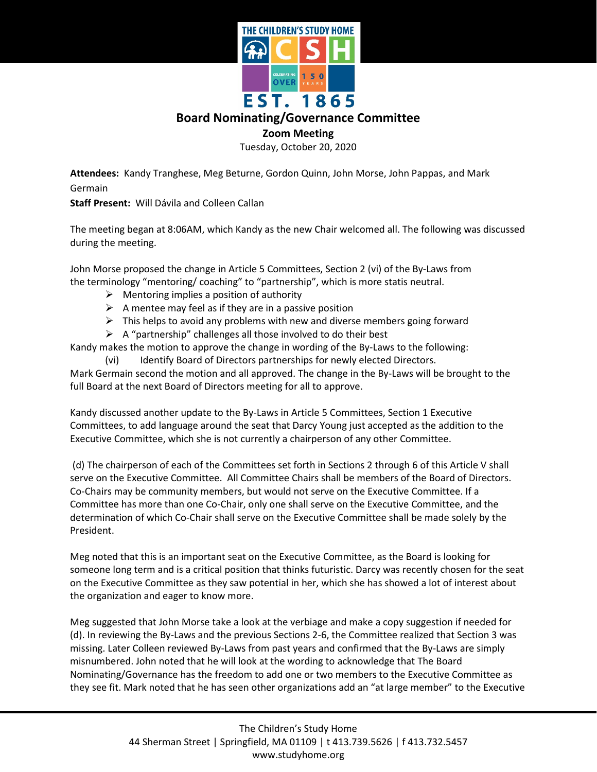

## **Board Nominating/Governance Committee**

## **Zoom Meeting**

Tuesday, October 20, 2020

**Attendees:** Kandy Tranghese, Meg Beturne, Gordon Quinn, John Morse, John Pappas, and Mark Germain

**Staff Present:** Will Dávila and Colleen Callan

The meeting began at 8:06AM, which Kandy as the new Chair welcomed all. The following was discussed during the meeting.

John Morse proposed the change in Article 5 Committees, Section 2 (vi) of the By-Laws from the terminology "mentoring/ coaching" to "partnership", which is more statis neutral.

- $\triangleright$  Mentoring implies a position of authority
- $\triangleright$  A mentee may feel as if they are in a passive position
- $\triangleright$  This helps to avoid any problems with new and diverse members going forward
- $\triangleright$  A "partnership" challenges all those involved to do their best

Kandy makes the motion to approve the change in wording of the By-Laws to the following:

(vi) Identify Board of Directors partnerships for newly elected Directors.

Mark Germain second the motion and all approved. The change in the By-Laws will be brought to the full Board at the next Board of Directors meeting for all to approve.

Kandy discussed another update to the By-Laws in Article 5 Committees, Section 1 Executive Committees, to add language around the seat that Darcy Young just accepted as the addition to the Executive Committee, which she is not currently a chairperson of any other Committee.

(d) The chairperson of each of the Committees set forth in Sections 2 through 6 of this Article V shall serve on the Executive Committee. All Committee Chairs shall be members of the Board of Directors. Co-Chairs may be community members, but would not serve on the Executive Committee. If a Committee has more than one Co-Chair, only one shall serve on the Executive Committee, and the determination of which Co-Chair shall serve on the Executive Committee shall be made solely by the President.

Meg noted that this is an important seat on the Executive Committee, as the Board is looking for someone long term and is a critical position that thinks futuristic. Darcy was recently chosen for the seat on the Executive Committee as they saw potential in her, which she has showed a lot of interest about the organization and eager to know more.

Meg suggested that John Morse take a look at the verbiage and make a copy suggestion if needed for (d). In reviewing the By-Laws and the previous Sections 2-6, the Committee realized that Section 3 was missing. Later Colleen reviewed By-Laws from past years and confirmed that the By-Laws are simply misnumbered. John noted that he will look at the wording to acknowledge that The Board Nominating/Governance has the freedom to add one or two members to the Executive Committee as they see fit. Mark noted that he has seen other organizations add an "at large member" to the Executive